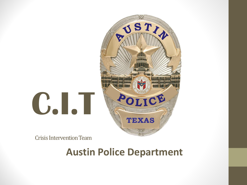

Crisis Intervention Team

#### **Austin Police Department**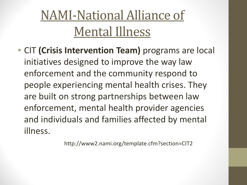#### NAMI-National Alliance of Mental Illness

• CIT **(Crisis Intervention Team)** programs are local initiatives designed to improve the way law enforcement and the community respond to people experiencing mental health crises. They are built on strong partnerships between law enforcement, mental health provider agencies and individuals and families affected by mental illness.

http://www2.nami.org/template.cfm?section=CIT2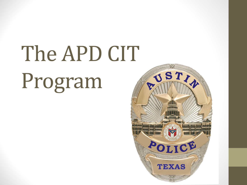## The APD CIT Program

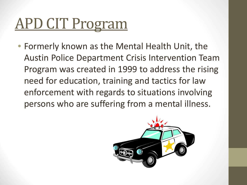### APD CIT Program

• Formerly known as the Mental Health Unit, the Austin Police Department Crisis Intervention Team Program was created in 1999 to address the rising need for education, training and tactics for law enforcement with regards to situations involving persons who are suffering from a mental illness.

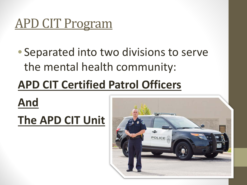#### APD CIT Program

• Separated into two divisions to serve the mental health community:

#### **APD CIT Certified Patrol Officers**

**And The APD CIT Unit** 

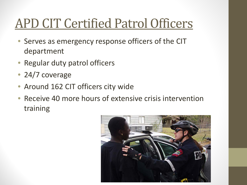#### APD CIT Certified Patrol Officers

- Serves as emergency response officers of the CIT department
- Regular duty patrol officers
- 24/7 coverage
- Around 162 CIT officers city wide
- Receive 40 more hours of extensive crisis intervention training

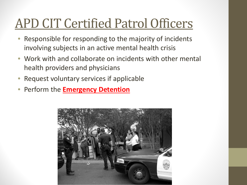#### APD CIT Certified Patrol Officers

- Responsible for responding to the majority of incidents involving subjects in an active mental health crisis
- Work with and collaborate on incidents with other mental health providers and physicians
- Request voluntary services if applicable
- Perform the **Emergency Detention**

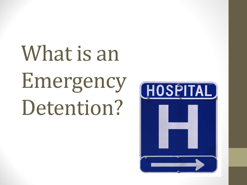What is an Emergency Detention?

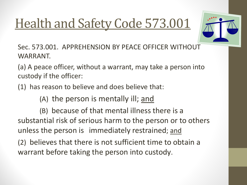#### Health and Safety Code 573.001



Sec. 573.001. APPREHENSION BY PEACE OFFICER WITHOUT WARRANT.

(a) A peace officer, without a warrant, may take a person into custody if the officer:

(1) has reason to believe and does believe that:

(A) the person is mentally ill; and

(B) because of that mental illness there is a substantial risk of serious harm to the person or to others unless the person is immediately restrained; and

(2) believes that there is not sufficient time to obtain a warrant before taking the person into custody.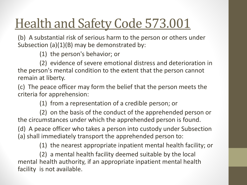#### Health and Safety Code 573.001

(b) A substantial risk of serious harm to the person or others under Subsection (a)(1)(B) may be demonstrated by:

(1) the person's behavior; or

(2) evidence of severe emotional distress and deterioration in the person's mental condition to the extent that the person cannot remain at liberty.

(c) The peace officer may form the belief that the person meets the criteria for apprehension:

(1) from a representation of a credible person; or

(2) on the basis of the conduct of the apprehended person or the circumstances under which the apprehended person is found.

(d) A peace officer who takes a person into custody under Subsection (a) shall immediately transport the apprehended person to:

(1) the nearest appropriate inpatient mental health facility; or

(2) a mental health facility deemed suitable by the local mental health authority, if an appropriate inpatient mental health facility is not available.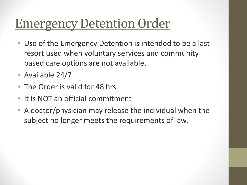#### Emergency Detention Order

- Use of the Emergency Detention is intended to be a last resort used when voluntary services and community based care options are not available.
- Available 24/7
- The Order is valid for 48 hrs
- It is NOT an official commitment
- A doctor/physician may release the individual when the subject no longer meets the requirements of law.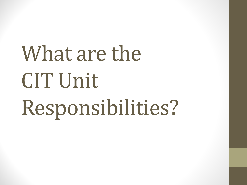# What are the CIT Unit Responsibilities?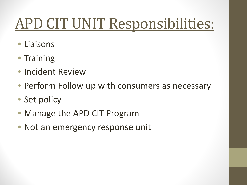### APD CIT UNIT Responsibilities:

- **Liaisons**
- Training
- Incident Review
- Perform Follow up with consumers as necessary
- Set policy
- Manage the APD CIT Program
- Not an emergency response unit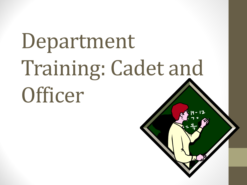# Department Training: Cadet and **Officer**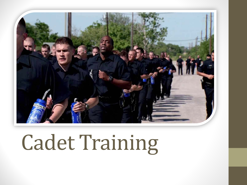

### Cadet Training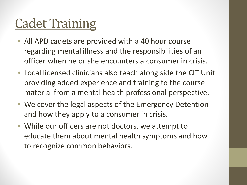#### Cadet Training

- All APD cadets are provided with a 40 hour course regarding mental illness and the responsibilities of an officer when he or she encounters a consumer in crisis.
- Local licensed clinicians also teach along side the CIT Unit providing added experience and training to the course material from a mental health professional perspective.
- We cover the legal aspects of the Emergency Detention and how they apply to a consumer in crisis.
- While our officers are not doctors, we attempt to educate them about mental health symptoms and how to recognize common behaviors.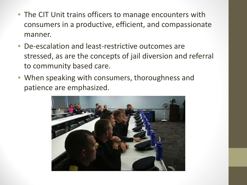- The CIT Unit trains officers to manage encounters with consumers in a productive, efficient, and compassionate manner.
- De-escalation and least-restrictive outcomes are stressed, as are the concepts of jail diversion and referral to community based care.
- When speaking with consumers, thoroughness and patience are emphasized.

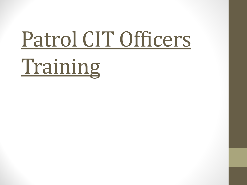### Patrol CIT Officers

Training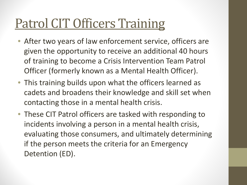#### Patrol CIT Officers Training

- After two years of law enforcement service, officers are given the opportunity to receive an additional 40 hours of training to become a Crisis Intervention Team Patrol Officer (formerly known as a Mental Health Officer).
- This training builds upon what the officers learned as cadets and broadens their knowledge and skill set when contacting those in a mental health crisis.
- These CIT Patrol officers are tasked with responding to incidents involving a person in a mental health crisis, evaluating those consumers, and ultimately determining if the person meets the criteria for an Emergency Detention (ED).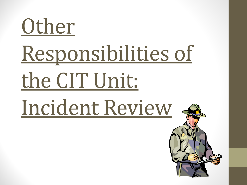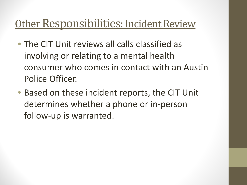#### Other Responsibilities: Incident Review

- The CIT Unit reviews all calls classified as involving or relating to a mental health consumer who comes in contact with an Austin Police Officer.
- Based on these incident reports, the CIT Unit determines whether a phone or in-person follow-up is warranted.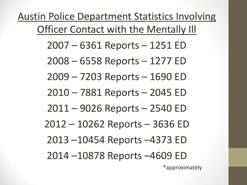Austin Police Department Statistics Involving Officer Contact with the Mentally Ill 2007 – 6361 Reports – 1251 ED 2008 – 6558 Reports – 1277 ED 2009 – 7203 Reports – 1690 ED 2010 – 7881 Reports – 2045 ED 2011 – 9026 Reports – 2540 ED 2012 – 10262 Reports – 3636 ED 2013 –10454 Reports –4373 ED 2014 –10878 Reports –4609 ED

\*approximately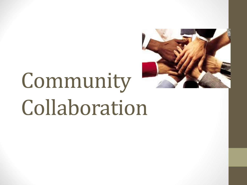

### Community Collaboration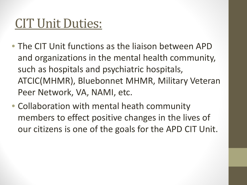#### CIT Unit Duties:

- The CIT Unit functions as the liaison between APD and organizations in the mental health community, such as hospitals and psychiatric hospitals, ATCIC(MHMR), Bluebonnet MHMR, Military Veteran Peer Network, VA, NAMI, etc.
- Collaboration with mental heath community members to effect positive changes in the lives of our citizens is one of the goals for the APD CIT Unit.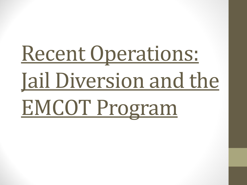## Recent Operations: Jail Diversion and the EMCOT Program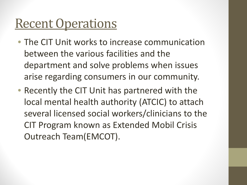#### **Recent Operations**

- The CIT Unit works to increase communication between the various facilities and the department and solve problems when issues arise regarding consumers in our community.
- Recently the CIT Unit has partnered with the local mental health authority (ATCIC) to attach several licensed social workers/clinicians to the CIT Program known as Extended Mobil Crisis Outreach Team(EMCOT).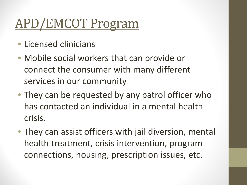#### APD/EMCOT Program

- Licensed clinicians
- Mobile social workers that can provide or connect the consumer with many different services in our community
- They can be requested by any patrol officer who has contacted an individual in a mental health crisis.
- They can assist officers with jail diversion, mental health treatment, crisis intervention, program connections, housing, prescription issues, etc.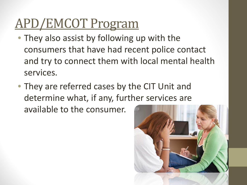#### APD/EMCOT Program

- They also assist by following up with the consumers that have had recent police contact and try to connect them with local mental health services.
- They are referred cases by the CIT Unit and determine what, if any, further services are available to the consumer.

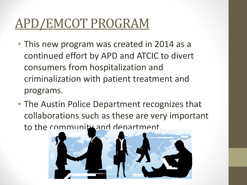#### APD/EMCOT PROGRAM

- This new program was created in 2014 as a continued effort by APD and ATCIC to divert consumers from hospitalization and criminalization with patient treatment and programs.
- The Austin Police Department recognizes that collaborations such as these are very important to the community and department.

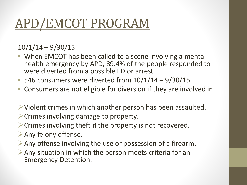#### APD/EMCOT PROGRAM

#### 10/1/14 – 9/30/15

- When EMCOT has been called to a scene involving a mental health emergency by APD, 89.4% of the people responded to were diverted from a possible ED or arrest.
- 546 consumers were diverted from  $10/1/14 9/30/15$ .
- Consumers are not eligible for diversion if they are involved in:
- $\triangleright$  Violent crimes in which another person has been assaulted.
- $\triangleright$  Crimes involving damage to property.
- $\triangleright$  Crimes involving theft if the property is not recovered.
- Any felony offense.
- $\triangleright$  Any offense involving the use or possession of a firearm.
- $\triangleright$  Any situation in which the person meets criteria for an Emergency Detention.